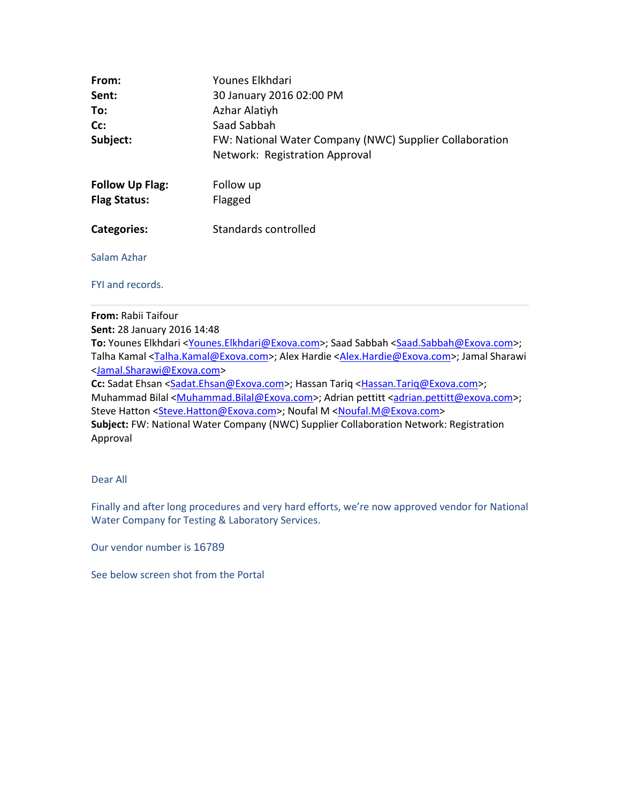| From:                  | Younes Elkhdari                                         |  |  |  |  |  |
|------------------------|---------------------------------------------------------|--|--|--|--|--|
| Sent:                  | 30 January 2016 02:00 PM                                |  |  |  |  |  |
| To:                    | Azhar Alatiyh                                           |  |  |  |  |  |
| Cc:                    | Saad Sabbah                                             |  |  |  |  |  |
| Subject:               | FW: National Water Company (NWC) Supplier Collaboration |  |  |  |  |  |
|                        | Network: Registration Approval                          |  |  |  |  |  |
| <b>Follow Up Flag:</b> | Follow up                                               |  |  |  |  |  |
| <b>Flag Status:</b>    | Flagged                                                 |  |  |  |  |  |
| Categories:            | Standards controlled                                    |  |  |  |  |  |
| Salam Azhar            |                                                         |  |  |  |  |  |
| FYI and records.       |                                                         |  |  |  |  |  |

**From:** Rabii Taifour **Sent:** 28 January 2016 14:48 To: Younes Elkhdari < Younes. Elkhdari@Exova.com>; Saad Sabbah <Saad.Sabbah@Exova.com>; Talha Kamal <Talha.Kamal@Exova.com>; Alex Hardie <Alex.Hardie@Exova.com>; Jamal Sharawi <Jamal.Sharawi@Exova.com> Cc: Sadat Ehsan <Sadat.Ehsan@Exova.com>; Hassan Tariq <Hassan.Tariq@Exova.com>; Muhammad Bilal <Muhammad.Bilal@Exova.com>; Adrian pettitt <adrian.pettitt@exova.com>; Steve Hatton <Steve.Hatton@Exova.com>; Noufal M <Noufal.M@Exova.com> **Subject:** FW: National Water Company (NWC) Supplier Collaboration Network: Registration Approval

Dear All

Finally and after long procedures and very hard efforts, we're now approved vendor for National Water Company for Testing & Laboratory Services.

Our vendor number is 16789

See below screen shot from the Portal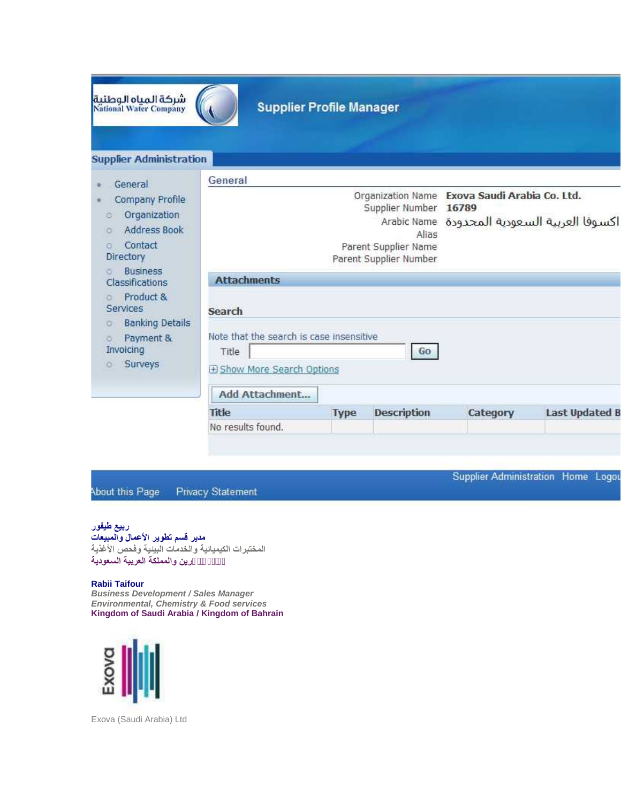| شركة المياه الوطنية<br>National Water Company                   | <b>Supplier Profile Manager</b>                                                  |             |                                              |          |                                  |  |
|-----------------------------------------------------------------|----------------------------------------------------------------------------------|-------------|----------------------------------------------|----------|----------------------------------|--|
| <b>Supplier Administration</b><br>General                       | General                                                                          |             |                                              |          |                                  |  |
| Company Profile                                                 | Organization Name Exova Saudi Arabia Co. Ltd.<br>Supplier Number<br>16789        |             |                                              |          |                                  |  |
| Organization<br>Ø.<br><b>Address Book</b><br>o<br>Contact<br>a. |                                                                                  |             | Arabic Name<br>Alias<br>Parent Supplier Name |          | اكسوفا العربية السعودية المحدودة |  |
| Directory<br><b>Business</b><br>o.<br>Classifications           | <b>Attachments</b>                                                               |             | Parent Supplier Number                       |          |                                  |  |
| Product &<br>o<br>Services<br><b>Banking Details</b><br>O.      | Search                                                                           |             |                                              |          |                                  |  |
| Payment &<br>ō<br>Invoicing<br>Surveys                          | Note that the search is case insensitive<br>Title<br>El Show More Search Options |             | Go                                           |          |                                  |  |
|                                                                 | Add Attachment                                                                   |             |                                              |          |                                  |  |
|                                                                 | Title                                                                            | <b>Type</b> | <b>Description</b>                           | Category | <b>Last Updated B</b>            |  |
|                                                                 | No results found.                                                                |             |                                              |          |                                  |  |

Supplier Administration Home Logou

About this Page Privacy Statement

## **ربیع طیفور**

**مدیر قسم تطویر الأعمال والمبیعات** *المختبرات الكیمیائیة والخدمات البیئیة وفحص الأغذیة* **Taifour Rabii مملكة البحرین والمملكة العربیة السعودیة**

*Business Development / Sales Manager Environmental, Chemistry & Food services* **Kingdom of Saudi Arabia / Kingdom of Bahrain**



Exova (Saudi Arabia) Ltd